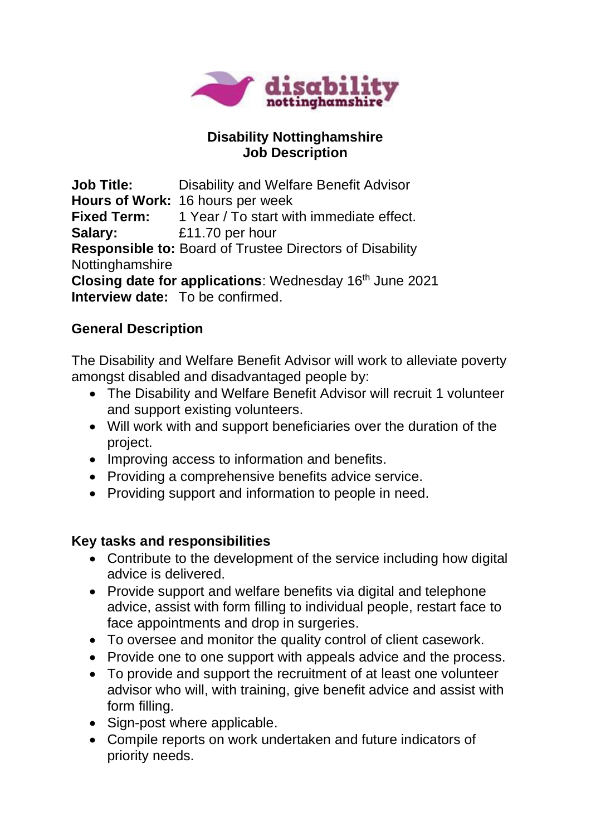

### **Disability Nottinghamshire Job Description**

**Job Title:** Disability and Welfare Benefit Advisor **Hours of Work:** 16 hours per week Fixed Term: 1 Year / To start with immediate effect. **Salary:** £11.70 per hour **Responsible to:** Board of Trustee Directors of Disability **Nottinghamshire Closing date for applications:** Wednesday 16<sup>th</sup> June 2021 **Interview date:** To be confirmed.

# **General Description**

The Disability and Welfare Benefit Advisor will work to alleviate poverty amongst disabled and disadvantaged people by:

- The Disability and Welfare Benefit Advisor will recruit 1 volunteer and support existing volunteers.
- Will work with and support beneficiaries over the duration of the project.
- Improving access to information and benefits.
- Providing a comprehensive benefits advice service.
- Providing support and information to people in need.

# **Key tasks and responsibilities**

- Contribute to the development of the service including how digital advice is delivered.
- Provide support and welfare benefits via digital and telephone advice, assist with form filling to individual people, restart face to face appointments and drop in surgeries.
- To oversee and monitor the quality control of client casework.
- Provide one to one support with appeals advice and the process.
- To provide and support the recruitment of at least one volunteer advisor who will, with training, give benefit advice and assist with form filling.
- Sign-post where applicable.
- Compile reports on work undertaken and future indicators of priority needs.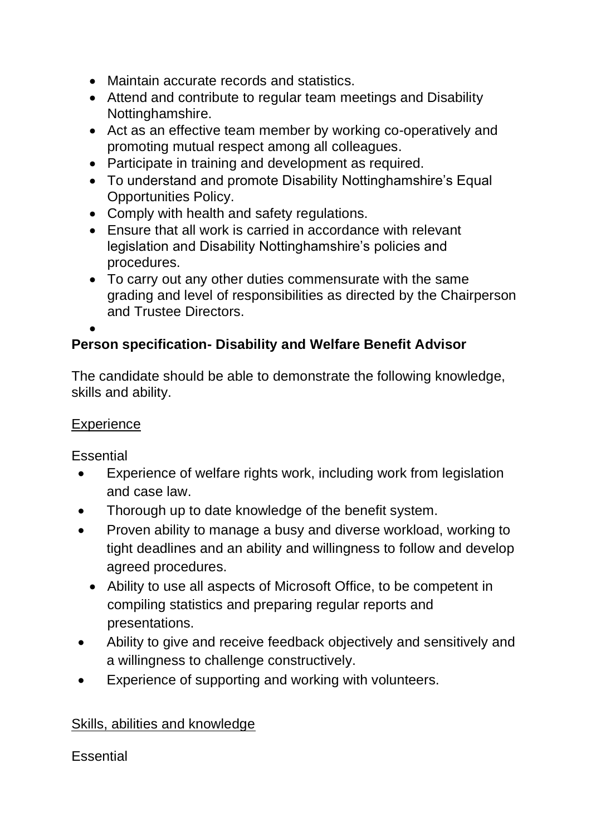- Maintain accurate records and statistics.
- Attend and contribute to regular team meetings and Disability Nottinghamshire.
- Act as an effective team member by working co-operatively and promoting mutual respect among all colleagues.
- Participate in training and development as required.
- To understand and promote Disability Nottinghamshire's Equal Opportunities Policy.
- Comply with health and safety regulations.
- Ensure that all work is carried in accordance with relevant legislation and Disability Nottinghamshire's policies and procedures.
- To carry out any other duties commensurate with the same grading and level of responsibilities as directed by the Chairperson and Trustee Directors.

#### • **Person specification- Disability and Welfare Benefit Advisor**

The candidate should be able to demonstrate the following knowledge, skills and ability.

### **Experience**

**Essential** 

- Experience of welfare rights work, including work from legislation and case law.
- Thorough up to date knowledge of the benefit system.
- Proven ability to manage a busy and diverse workload, working to tight deadlines and an ability and willingness to follow and develop agreed procedures.
	- Ability to use all aspects of Microsoft Office, to be competent in compiling statistics and preparing regular reports and presentations.
- Ability to give and receive feedback objectively and sensitively and a willingness to challenge constructively.
- Experience of supporting and working with volunteers.

# Skills, abilities and knowledge

#### **Essential**